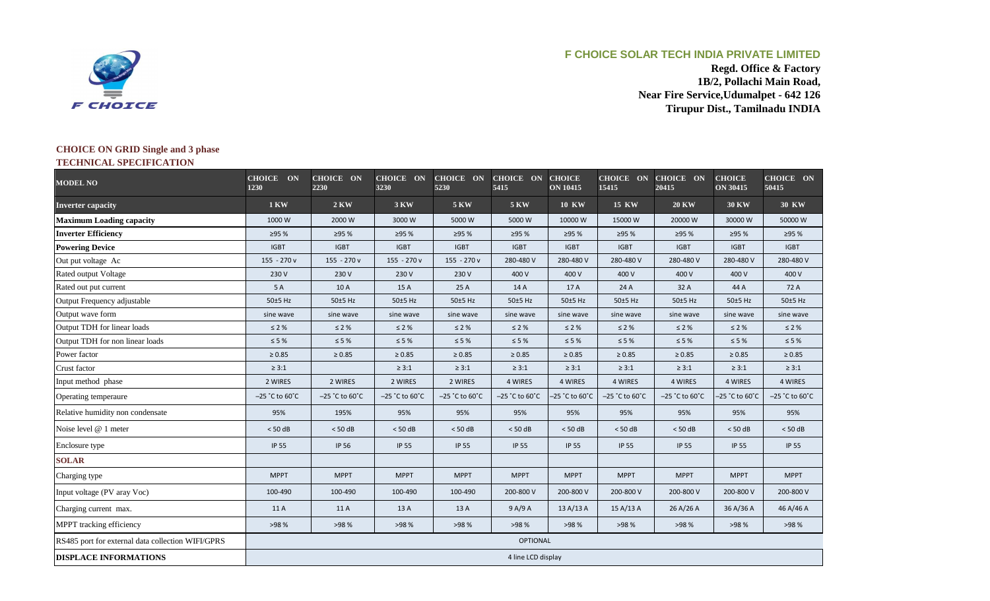

## **F CHOICE SOLAR TECH INDIA PRIVATE LIMITED**

**Regd. Office & Factory 1B/2, Pollachi Main Road, Near Fire Service,Udumalpet - 642 126 Tirupur Dist., Tamilnadu INDIA**

## **CHOICE ON GRID Single and 3 phase TECHNICAL SPECIFICATION**

| <b>MODEL NO</b>                                   | CHOICE ON<br>1230                    | CHOICE ON<br>2230           | <b>CHOICE ON</b><br>3230             | CHOICE ON<br>5230                    | <b>CHOICE ON</b><br>5415    | <b>CHOICE</b><br><b>ON 10415</b> | <b>CHOICE ON</b><br>15415 | <b>CHOICE ON</b><br>20415            | <b>CHOICE</b><br><b>ON 30415</b> | <b>CHOICE ON</b><br>50415            |
|---------------------------------------------------|--------------------------------------|-----------------------------|--------------------------------------|--------------------------------------|-----------------------------|----------------------------------|---------------------------|--------------------------------------|----------------------------------|--------------------------------------|
| <b>Inverter capacity</b>                          | <b>1 KW</b>                          | <b>2 KW</b>                 | 3 KW                                 | <b>5 KW</b>                          | <b>5 KW</b>                 | <b>10 KW</b>                     | <b>15 KW</b>              | <b>20 KW</b>                         | <b>30 KW</b>                     | <b>30 KW</b>                         |
| <b>Maximum Loading capacity</b>                   | 1000 W                               | 2000 W                      | 3000W                                | 5000 W                               | 5000W                       | 10000 W                          | 15000 W                   | 20000 W                              | 30000 W                          | 50000 W                              |
| <b>Inverter Efficiency</b>                        | ≥95 %                                | ≥95 %                       | ≥95 %                                | ≥95 %                                | ≥95 %                       | ≥95 %                            | ≥95 %                     | ≥95 %                                | ≥95 %                            | ≥95 %                                |
| <b>Powering Device</b>                            | <b>IGBT</b>                          | <b>IGBT</b>                 | <b>IGBT</b>                          | <b>IGBT</b>                          | <b>IGBT</b>                 | <b>IGBT</b>                      | <b>IGBT</b>               | <b>IGBT</b>                          | <b>IGBT</b>                      | <b>IGBT</b>                          |
| Out put voltage Ac                                | 155 - 270 v                          | 155 - 270 v                 | 155 - 270 v                          | $155 - 270v$                         | 280-480 V                   | 280-480 V                        | 280-480 V                 | 280-480 V                            | 280-480 V                        | 280-480 V                            |
| Rated output Voltage                              | 230 V                                | 230 V                       | 230 V                                | 230 V                                | 400 V                       | 400 V                            | 400 V                     | 400 V                                | 400 V                            | 400 V                                |
| Rated out put current                             | 5 A                                  | 10 A                        | 15A                                  | 25 A                                 | 14 A                        | 17 A                             | 24 A                      | 32 A                                 | 44 A                             | 72 A                                 |
| Output Frequency adjustable                       | 50±5 Hz                              | 50±5 Hz                     | 50±5 Hz                              | 50±5 Hz                              | 50±5 Hz                     | 50±5 Hz                          | 50±5 Hz                   | 50±5 Hz                              | 50±5 Hz                          | 50±5 Hz                              |
| Output wave form                                  | sine wave                            | sine wave                   | sine wave                            | sine wave                            | sine wave                   | sine wave                        | sine wave                 | sine wave                            | sine wave                        | sine wave                            |
| Output TDH for linear loads                       | $\leq 2 \%$                          | $\leq 2 \%$                 | $\leq 2\%$                           | $\leq 2 \%$                          | $\leq 2 \%$                 | $\leq 2 \%$                      | $\leq 2 \%$               | $\leq 2 \%$                          | $\leq 2\%$                       | $\leq 2\%$                           |
| Output TDH for non linear loads                   | $\leq 5 \%$                          | $\leq 5 \%$                 | $\leq 5\%$                           | $\leq 5\ \%$                         | $\leq 5$ %                  | $\leq 5$ %                       | $\leq 5\ \%$              | $\leq 5\%$                           | $\leq 5 \%$                      | $\leq 5%$                            |
| Power factor                                      | $\geq 0.85$                          | $\geq 0.85$                 | $\geq 0.85$                          | $\geq 0.85$                          | $\geq 0.85$                 | $\geq 0.85$                      | $\geq 0.85$               | $\geq 0.85$                          | $\geq 0.85$                      | $\geq 0.85$                          |
| Crust factor                                      | $\geq 3:1$                           |                             | $\geq 3:1$                           | $\geq 3:1$                           | $\geq 3:1$                  | $\geq 3:1$                       | $\geq 3:1$                | $\geq 3:1$                           | $\geq 3:1$                       | $\geq 3:1$                           |
| Input method phase                                | 2 WIRES                              | 2 WIRES                     | 2 WIRES                              | 2 WIRES                              | 4 WIRES                     | 4 WIRES                          | 4 WIRES                   | 4 WIRES                              | 4 WIRES                          | 4 WIRES                              |
| Operating temperaure                              | $-25$ $^{\circ}$ C to $60^{\circ}$ C | $-25$ °C to 60 $^{\circ}$ C | $-25$ $^{\circ}$ C to $60^{\circ}$ C | $-25$ $^{\circ}$ C to $60^{\circ}$ C | $-25$ °C to 60 $^{\circ}$ C | $-25$ °C to 60°C                 | $-25$ °C to 60°C          | $-25$ $^{\circ}$ C to $60^{\circ}$ C | $-25$ °C to 60 $\degree$ C       | $-25$ $^{\circ}$ C to $60^{\circ}$ C |
| Relative humidity non condensate                  | 95%                                  | 195%                        | 95%                                  | 95%                                  | 95%                         | 95%                              | 95%                       | 95%                                  | 95%                              | 95%                                  |
| Noise level @ 1 meter                             | $< 50$ dB                            | < 50 dB                     | < 50 dB                              | < 50 dB                              | $< 50$ dB                   | < 50 dB                          | < 50 dB                   | < 50 dB                              | < 50 dB                          | < 50 dB                              |
| Enclosure type                                    | <b>IP 55</b>                         | <b>IP 56</b>                | <b>IP 55</b>                         | IP 55                                | <b>IP 55</b>                | IP 55                            | <b>IP 55</b>              | <b>IP 55</b>                         | <b>IP 55</b>                     | <b>IP 55</b>                         |
| <b>SOLAR</b>                                      |                                      |                             |                                      |                                      |                             |                                  |                           |                                      |                                  |                                      |
| Charging type                                     | <b>MPPT</b>                          | <b>MPPT</b>                 | <b>MPPT</b>                          | <b>MPPT</b>                          | <b>MPPT</b>                 | <b>MPPT</b>                      | <b>MPPT</b>               | <b>MPPT</b>                          | <b>MPPT</b>                      | <b>MPPT</b>                          |
| Input voltage (PV aray Voc)                       | 100-490                              | 100-490                     | 100-490                              | 100-490                              | 200-800 V                   | 200-800 V                        | 200-800 V                 | 200-800 V                            | 200-800 V                        | 200-800 V                            |
| Charging current max.                             | 11 A                                 | 11 A                        | 13 A                                 | 13 A                                 | 9 A/9 A                     | 13 A/13 A                        | 15 A/13 A                 | 26 A/26 A                            | 36 A/36 A                        | 46 A/46 A                            |
| MPPT tracking efficiency                          | >98 %                                | >98 %                       | >98 %                                | >98 %                                | >98 %                       | >98 %                            | >98 %                     | >98 %                                | >98 %                            | >98 %                                |
| RS485 port for external data collection WIFI/GPRS | <b>OPTIONAL</b>                      |                             |                                      |                                      |                             |                                  |                           |                                      |                                  |                                      |
| <b>DISPLACE INFORMATIONS</b>                      | 4 line LCD display                   |                             |                                      |                                      |                             |                                  |                           |                                      |                                  |                                      |